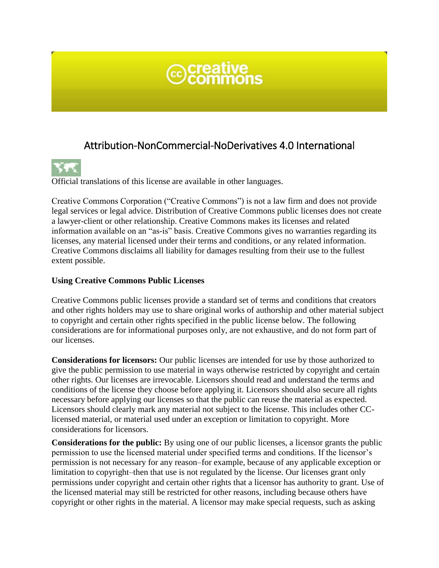

# Attribution-NonCommercial-NoDerivatives 4.0 International



Official translations of this license are available in other languages.

Creative Commons Corporation ("Creative Commons") is not a law firm and does not provide legal services or legal advice. Distribution of Creative Commons public licenses does not create a lawyer-client or other relationship. Creative Commons makes its licenses and related information available on an "as-is" basis. Creative Commons gives no warranties regarding its licenses, any material licensed under their terms and conditions, or any related information. Creative Commons disclaims all liability for damages resulting from their use to the fullest extent possible.

#### **Using Creative Commons Public Licenses**

Creative Commons public licenses provide a standard set of terms and conditions that creators and other rights holders may use to share original works of authorship and other material subject to copyright and certain other rights specified in the public license below. The following considerations are for informational purposes only, are not exhaustive, and do not form part of our licenses.

**Considerations for licensors:** Our public licenses are intended for use by those authorized to give the public permission to use material in ways otherwise restricted by copyright and certain other rights. Our licenses are irrevocable. Licensors should read and understand the terms and conditions of the license they choose before applying it. Licensors should also secure all rights necessary before applying our licenses so that the public can reuse the material as expected. Licensors should clearly mark any material not subject to the license. This includes other CClicensed material, or material used under an exception or limitation to copyright. More considerations for licensors.

**Considerations for the public:** By using one of our public licenses, a licensor grants the public permission to use the licensed material under specified terms and conditions. If the licensor's permission is not necessary for any reason–for example, because of any applicable exception or limitation to copyright–then that use is not regulated by the license. Our licenses grant only permissions under copyright and certain other rights that a licensor has authority to grant. Use of the licensed material may still be restricted for other reasons, including because others have copyright or other rights in the material. A licensor may make special requests, such as asking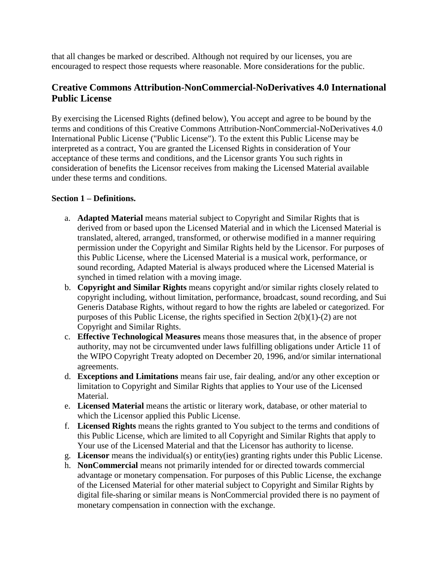that all changes be marked or described. Although not required by our licenses, you are encouraged to respect those requests where reasonable. More considerations for the public.

# **Creative Commons Attribution-NonCommercial-NoDerivatives 4.0 International Public License**

By exercising the Licensed Rights (defined below), You accept and agree to be bound by the terms and conditions of this Creative Commons Attribution-NonCommercial-NoDerivatives 4.0 International Public License ("Public License"). To the extent this Public License may be interpreted as a contract, You are granted the Licensed Rights in consideration of Your acceptance of these terms and conditions, and the Licensor grants You such rights in consideration of benefits the Licensor receives from making the Licensed Material available under these terms and conditions.

#### **Section 1 – Definitions.**

- a. **Adapted Material** means material subject to Copyright and Similar Rights that is derived from or based upon the Licensed Material and in which the Licensed Material is translated, altered, arranged, transformed, or otherwise modified in a manner requiring permission under the Copyright and Similar Rights held by the Licensor. For purposes of this Public License, where the Licensed Material is a musical work, performance, or sound recording, Adapted Material is always produced where the Licensed Material is synched in timed relation with a moving image.
- b. **Copyright and Similar Rights** means copyright and/or similar rights closely related to copyright including, without limitation, performance, broadcast, sound recording, and Sui Generis Database Rights, without regard to how the rights are labeled or categorized. For purposes of this Public License, the rights specified in Section 2(b)(1)-(2) are not Copyright and Similar Rights.
- c. **Effective Technological Measures** means those measures that, in the absence of proper authority, may not be circumvented under laws fulfilling obligations under Article 11 of the WIPO Copyright Treaty adopted on December 20, 1996, and/or similar international agreements.
- d. **Exceptions and Limitations** means fair use, fair dealing, and/or any other exception or limitation to Copyright and Similar Rights that applies to Your use of the Licensed Material.
- e. **Licensed Material** means the artistic or literary work, database, or other material to which the Licensor applied this Public License.
- f. **Licensed Rights** means the rights granted to You subject to the terms and conditions of this Public License, which are limited to all Copyright and Similar Rights that apply to Your use of the Licensed Material and that the Licensor has authority to license.
- g. **Licensor** means the individual(s) or entity(ies) granting rights under this Public License.
- h. **NonCommercial** means not primarily intended for or directed towards commercial advantage or monetary compensation. For purposes of this Public License, the exchange of the Licensed Material for other material subject to Copyright and Similar Rights by digital file-sharing or similar means is NonCommercial provided there is no payment of monetary compensation in connection with the exchange.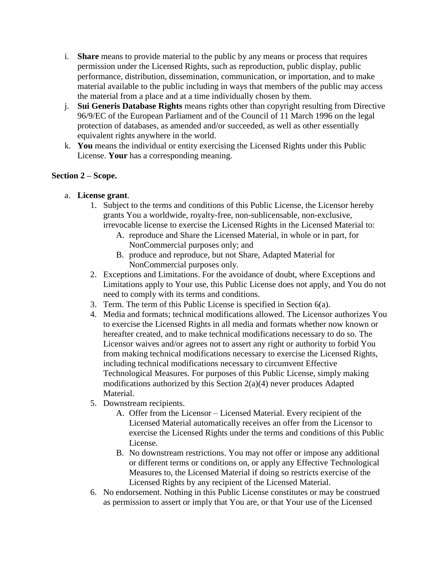- i. **Share** means to provide material to the public by any means or process that requires permission under the Licensed Rights, such as reproduction, public display, public performance, distribution, dissemination, communication, or importation, and to make material available to the public including in ways that members of the public may access the material from a place and at a time individually chosen by them.
- j. **Sui Generis Database Rights** means rights other than copyright resulting from Directive 96/9/EC of the European Parliament and of the Council of 11 March 1996 on the legal protection of databases, as amended and/or succeeded, as well as other essentially equivalent rights anywhere in the world.
- k. **You** means the individual or entity exercising the Licensed Rights under this Public License. **Your** has a corresponding meaning.

#### **Section 2 – Scope.**

- a. **License grant**.
	- 1. Subject to the terms and conditions of this Public License, the Licensor hereby grants You a worldwide, royalty-free, non-sublicensable, non-exclusive, irrevocable license to exercise the Licensed Rights in the Licensed Material to:
		- A. reproduce and Share the Licensed Material, in whole or in part, for NonCommercial purposes only; and
		- B. produce and reproduce, but not Share, Adapted Material for NonCommercial purposes only.
	- 2. Exceptions and Limitations. For the avoidance of doubt, where Exceptions and Limitations apply to Your use, this Public License does not apply, and You do not need to comply with its terms and conditions.
	- 3. Term. The term of this Public License is specified in Section 6(a).
	- 4. Media and formats; technical modifications allowed. The Licensor authorizes You to exercise the Licensed Rights in all media and formats whether now known or hereafter created, and to make technical modifications necessary to do so. The Licensor waives and/or agrees not to assert any right or authority to forbid You from making technical modifications necessary to exercise the Licensed Rights, including technical modifications necessary to circumvent Effective Technological Measures. For purposes of this Public License, simply making modifications authorized by this Section 2(a)(4) never produces Adapted Material.
	- 5. Downstream recipients.
		- A. Offer from the Licensor Licensed Material. Every recipient of the Licensed Material automatically receives an offer from the Licensor to exercise the Licensed Rights under the terms and conditions of this Public License.
		- B. No downstream restrictions. You may not offer or impose any additional or different terms or conditions on, or apply any Effective Technological Measures to, the Licensed Material if doing so restricts exercise of the Licensed Rights by any recipient of the Licensed Material.
	- 6. No endorsement. Nothing in this Public License constitutes or may be construed as permission to assert or imply that You are, or that Your use of the Licensed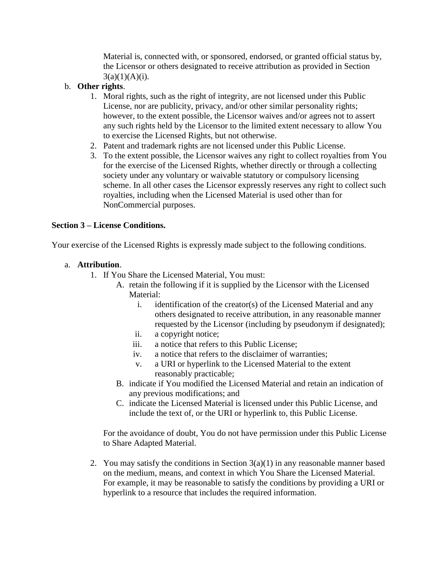Material is, connected with, or sponsored, endorsed, or granted official status by, the Licensor or others designated to receive attribution as provided in Section  $3(a)(1)(A)(i)$ .

#### b. **Other rights**.

- 1. Moral rights, such as the right of integrity, are not licensed under this Public License, nor are publicity, privacy, and/or other similar personality rights; however, to the extent possible, the Licensor waives and/or agrees not to assert any such rights held by the Licensor to the limited extent necessary to allow You to exercise the Licensed Rights, but not otherwise.
- 2. Patent and trademark rights are not licensed under this Public License.
- 3. To the extent possible, the Licensor waives any right to collect royalties from You for the exercise of the Licensed Rights, whether directly or through a collecting society under any voluntary or waivable statutory or compulsory licensing scheme. In all other cases the Licensor expressly reserves any right to collect such royalties, including when the Licensed Material is used other than for NonCommercial purposes.

#### **Section 3 – License Conditions.**

Your exercise of the Licensed Rights is expressly made subject to the following conditions.

#### a. **Attribution**.

- 1. If You Share the Licensed Material, You must:
	- A. retain the following if it is supplied by the Licensor with the Licensed Material:
		- i. identification of the creator(s) of the Licensed Material and any others designated to receive attribution, in any reasonable manner requested by the Licensor (including by pseudonym if designated);
		- ii. a copyright notice;
		- iii. a notice that refers to this Public License;
		- iv. a notice that refers to the disclaimer of warranties;
		- v. a URI or hyperlink to the Licensed Material to the extent reasonably practicable;
	- B. indicate if You modified the Licensed Material and retain an indication of any previous modifications; and
	- C. indicate the Licensed Material is licensed under this Public License, and include the text of, or the URI or hyperlink to, this Public License.

For the avoidance of doubt, You do not have permission under this Public License to Share Adapted Material.

2. You may satisfy the conditions in Section  $3(a)(1)$  in any reasonable manner based on the medium, means, and context in which You Share the Licensed Material. For example, it may be reasonable to satisfy the conditions by providing a URI or hyperlink to a resource that includes the required information.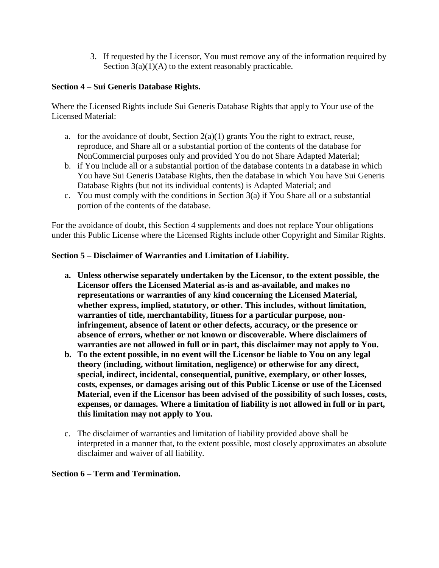3. If requested by the Licensor, You must remove any of the information required by Section  $3(a)(1)(A)$  to the extent reasonably practicable.

### **Section 4 – Sui Generis Database Rights.**

Where the Licensed Rights include Sui Generis Database Rights that apply to Your use of the Licensed Material:

- a. for the avoidance of doubt, Section  $2(a)(1)$  grants You the right to extract, reuse, reproduce, and Share all or a substantial portion of the contents of the database for NonCommercial purposes only and provided You do not Share Adapted Material;
- b. if You include all or a substantial portion of the database contents in a database in which You have Sui Generis Database Rights, then the database in which You have Sui Generis Database Rights (but not its individual contents) is Adapted Material; and
- c. You must comply with the conditions in Section  $3(a)$  if You Share all or a substantial portion of the contents of the database.

For the avoidance of doubt, this Section 4 supplements and does not replace Your obligations under this Public License where the Licensed Rights include other Copyright and Similar Rights.

#### **Section 5 – Disclaimer of Warranties and Limitation of Liability.**

- **a. Unless otherwise separately undertaken by the Licensor, to the extent possible, the Licensor offers the Licensed Material as-is and as-available, and makes no representations or warranties of any kind concerning the Licensed Material, whether express, implied, statutory, or other. This includes, without limitation, warranties of title, merchantability, fitness for a particular purpose, noninfringement, absence of latent or other defects, accuracy, or the presence or absence of errors, whether or not known or discoverable. Where disclaimers of warranties are not allowed in full or in part, this disclaimer may not apply to You.**
- **b. To the extent possible, in no event will the Licensor be liable to You on any legal theory (including, without limitation, negligence) or otherwise for any direct, special, indirect, incidental, consequential, punitive, exemplary, or other losses, costs, expenses, or damages arising out of this Public License or use of the Licensed Material, even if the Licensor has been advised of the possibility of such losses, costs, expenses, or damages. Where a limitation of liability is not allowed in full or in part, this limitation may not apply to You.**
- c. The disclaimer of warranties and limitation of liability provided above shall be interpreted in a manner that, to the extent possible, most closely approximates an absolute disclaimer and waiver of all liability.

#### **Section 6 – Term and Termination.**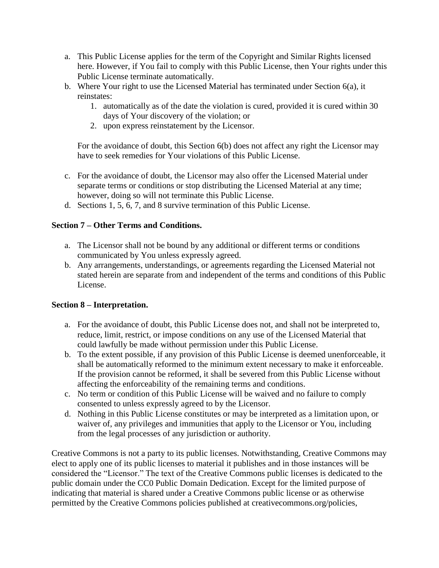- a. This Public License applies for the term of the Copyright and Similar Rights licensed here. However, if You fail to comply with this Public License, then Your rights under this Public License terminate automatically.
- b. Where Your right to use the Licensed Material has terminated under Section 6(a), it reinstates:
	- 1. automatically as of the date the violation is cured, provided it is cured within 30 days of Your discovery of the violation; or
	- 2. upon express reinstatement by the Licensor.

For the avoidance of doubt, this Section 6(b) does not affect any right the Licensor may have to seek remedies for Your violations of this Public License.

- c. For the avoidance of doubt, the Licensor may also offer the Licensed Material under separate terms or conditions or stop distributing the Licensed Material at any time; however, doing so will not terminate this Public License.
- d. Sections 1, 5, 6, 7, and 8 survive termination of this Public License.

## **Section 7 – Other Terms and Conditions.**

- a. The Licensor shall not be bound by any additional or different terms or conditions communicated by You unless expressly agreed.
- b. Any arrangements, understandings, or agreements regarding the Licensed Material not stated herein are separate from and independent of the terms and conditions of this Public License.

#### **Section 8 – Interpretation.**

- a. For the avoidance of doubt, this Public License does not, and shall not be interpreted to, reduce, limit, restrict, or impose conditions on any use of the Licensed Material that could lawfully be made without permission under this Public License.
- b. To the extent possible, if any provision of this Public License is deemed unenforceable, it shall be automatically reformed to the minimum extent necessary to make it enforceable. If the provision cannot be reformed, it shall be severed from this Public License without affecting the enforceability of the remaining terms and conditions.
- c. No term or condition of this Public License will be waived and no failure to comply consented to unless expressly agreed to by the Licensor.
- d. Nothing in this Public License constitutes or may be interpreted as a limitation upon, or waiver of, any privileges and immunities that apply to the Licensor or You, including from the legal processes of any jurisdiction or authority.

Creative Commons is not a party to its public licenses. Notwithstanding, Creative Commons may elect to apply one of its public licenses to material it publishes and in those instances will be considered the "Licensor." The text of the Creative Commons public licenses is dedicated to the public domain under the CC0 Public Domain Dedication. Except for the limited purpose of indicating that material is shared under a Creative Commons public license or as otherwise permitted by the Creative Commons policies published at creativecommons.org/policies,